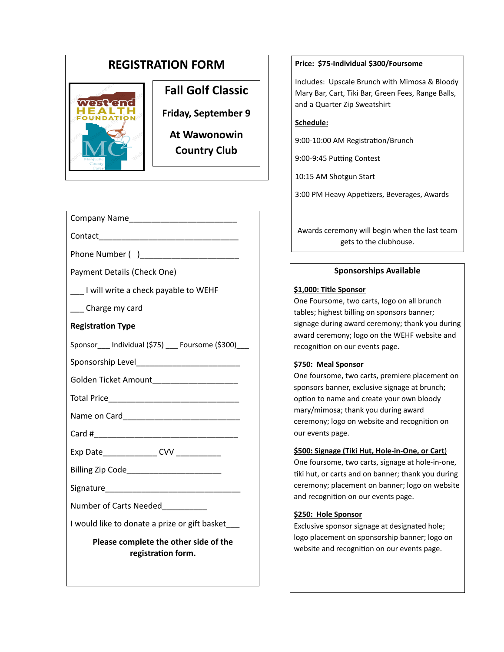# **REGISTRATION FORM**



# **Fall Golf Classic**

**Friday, September 9**

**At Wawonowin Country Club**

| Company Name |  |  |
|--------------|--|--|
|              |  |  |

Contact

Phone Number ( )

Payment Details (Check One)

\_\_\_ I will write a check payable to WEHF

\_\_\_ Charge my card

## **Registration Type**

Sponsor Individual (\$75) Foursome (\$300)

Sponsorship Level

Golden Ticket Amount

Total Price

Name on Card\_\_\_\_\_\_\_\_\_\_\_\_\_\_\_\_\_\_\_\_\_\_\_\_\_\_

Card #

Exp Date\_\_\_\_\_\_\_\_\_\_\_\_\_\_\_\_ CVV \_\_\_\_\_\_\_\_\_\_\_\_\_\_

Billing Zip Code\_\_\_\_\_\_\_\_\_\_\_\_\_\_\_\_\_\_\_\_\_

Signature\_\_\_\_\_\_\_\_\_\_\_\_\_\_\_\_\_\_\_\_\_\_\_\_\_\_\_\_\_\_

Number of Carts Needed\_\_\_\_\_\_\_\_\_\_\_

I would like to donate a prize or gift basket\_\_\_

**Please complete the other side of the registration form.**

#### **Price: \$75-Individual \$300/Foursome**

Includes: Upscale Brunch with Mimosa & Bloody Mary Bar, Cart, Tiki Bar, Green Fees, Range Balls, and a Quarter Zip Sweatshirt

#### **Schedule:**

9:00-10:00 AM Registration/Brunch

9:00-9:45 Putting Contest

10:15 AM Shotgun Start

3:00 PM Heavy Appetizers, Beverages, Awards

Awards ceremony will begin when the last team gets to the clubhouse.

## **Sponsorships Available**

#### **\$1,000: Title Sponsor**

One Foursome, two carts, logo on all brunch tables; highest billing on sponsors banner; signage during award ceremony; thank you during award ceremony; logo on the WEHF website and recognition on our events page.

## **\$750: Meal Sponsor**

One foursome, two carts, premiere placement on sponsors banner, exclusive signage at brunch; option to name and create your own bloody mary/mimosa; thank you during award ceremony; logo on website and recognition on our events page.

#### **\$500: Signage (Tiki Hut, Hole-in-One, or Cart**)

One foursome, two carts, signage at hole-in-one, tiki hut, or carts and on banner; thank you during ceremony; placement on banner; logo on website and recognition on our events page.

## **\$250: Hole Sponsor**

Exclusive sponsor signage at designated hole; logo placement on sponsorship banner; logo on website and recognition on our events page.